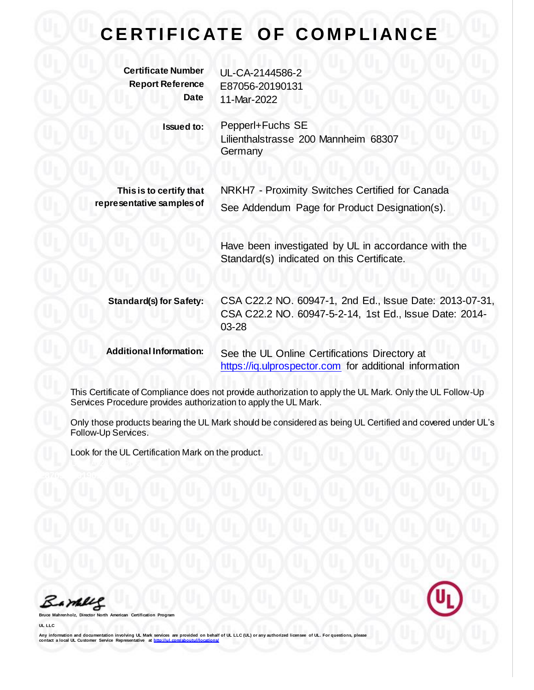**Certificate Number** UL-CA-2144586-2 **Report Reference** E87056-20190131 **Date** 11-Mar-2022

> **Issued to:** Pepperl+Fuchs SE Lilienthalstrasse 200 Mannheim 68307 **Germany**

**This is to certify that representative samples of**

NRKH7 - Proximity Switches Certified for Canada See Addendum Page for Product Designation(s).

Have been investigated by UL in accordance with the Standard(s) indicated on this Certificate.

**Standard(s) for Safety:** CSA C22.2 NO. 60947-1, 2nd Ed., Issue Date: 2013-07-31, CSA C22.2 NO. 60947-5-2-14, 1st Ed., Issue Date: 2014- 03-28

**Additional Information:** See the UL Online Certifications Directory at [https://iq.ulprospector.com](https://iq.ulprospector.com/) for additional information

This Certificate of Compliance does not provide authorization to apply the UL Mark. Only the UL Follow-Up Services Procedure provides authorization to apply the UL Mark.

Only those products bearing the UL Mark should be considered as being UL Certified and covered under UL's Follow-Up Services.

Look for the UL Certification Mark on the product.

Bambles

**Bruce Mahrenholz, Director North American Certification Program**

**UL LLC**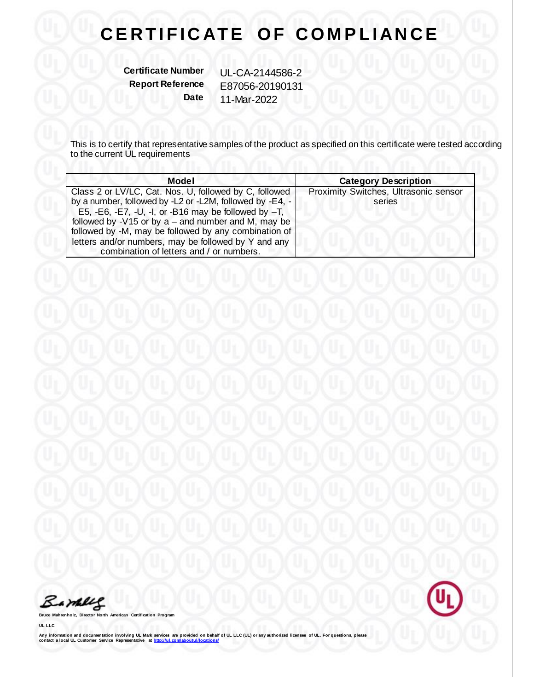**Certificate Number** UL-CA-2144586-2<br>**Report Reference** E87056-20190131

**Report Reference** E87056-20190131 **Date** 11-Mar-2022

This is to certify that representative samples of the product as specified on this certificate were tested according to the current UL requirements and the current UL requirements

| <b>Model</b>                                             | <b>Category Description</b>           |
|----------------------------------------------------------|---------------------------------------|
| Class 2 or LV/LC, Cat. Nos. U, followed by C, followed   | Proximity Switches, Ultrasonic sensor |
| by a number, followed by -L2 or -L2M, followed by -E4, - | series                                |
| E5, -E6, -E7, -U, -I, or -B16 may be followed by -T,     |                                       |
| followed by -V15 or by $a$ – and number and M, may be    |                                       |
| followed by -M, may be followed by any combination of    |                                       |
| letters and/or numbers, may be followed by Y and any     |                                       |
| combination of letters and / or numbers.                 |                                       |

Barney

**Bruce Mahrenholz, Director North American Certification Program**

**UL LLC**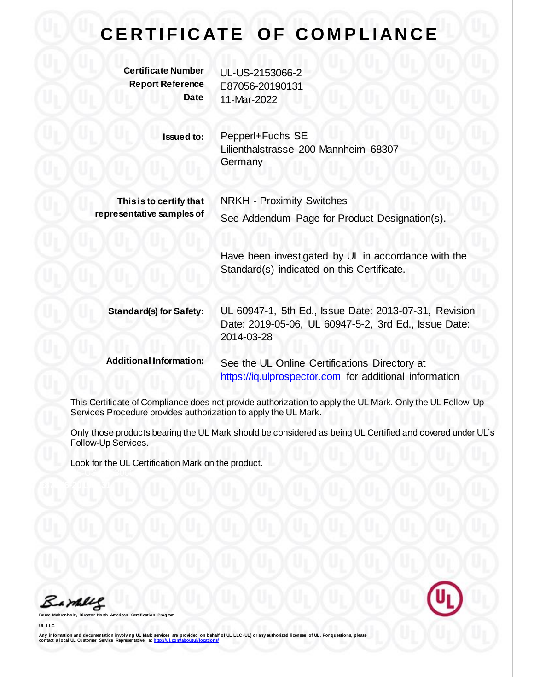**Certificate Number** UL-US-2153066-2

**Report Reference** E87056-20190131 **Date** 11-Mar-2022

> **Issued to:** Pepperl+Fuchs SE Lilienthalstrasse 200 Mannheim 68307 **Germany**

**This is to certify that representative samples of**

NRKH - Proximity Switches See Addendum Page for Product Designation(s).

Have been investigated by UL in accordance with the Standard(s) indicated on this Certificate.

**Standard(s) for Safety:** UL 60947-1, 5th Ed., Issue Date: 2013-07-31, Revision Date: 2019-05-06, UL 60947-5-2, 3rd Ed., Issue Date: 2014-03-28

**Additional Information:** See the UL Online Certifications Directory at [https://iq.ulprospector.com](https://iq.ulprospector.com/) for additional information

This Certificate of Compliance does not provide authorization to apply the UL Mark. Only the UL Follow-Up Services Procedure provides authorization to apply the UL Mark.

Only those products bearing the UL Mark should be considered as being UL Certified and covered under UL's Follow-Up Services.

Look for the UL Certification Mark on the product.

Barney

**Bruce Mahrenholz, Director North American Certification Program**

**UL LLC**